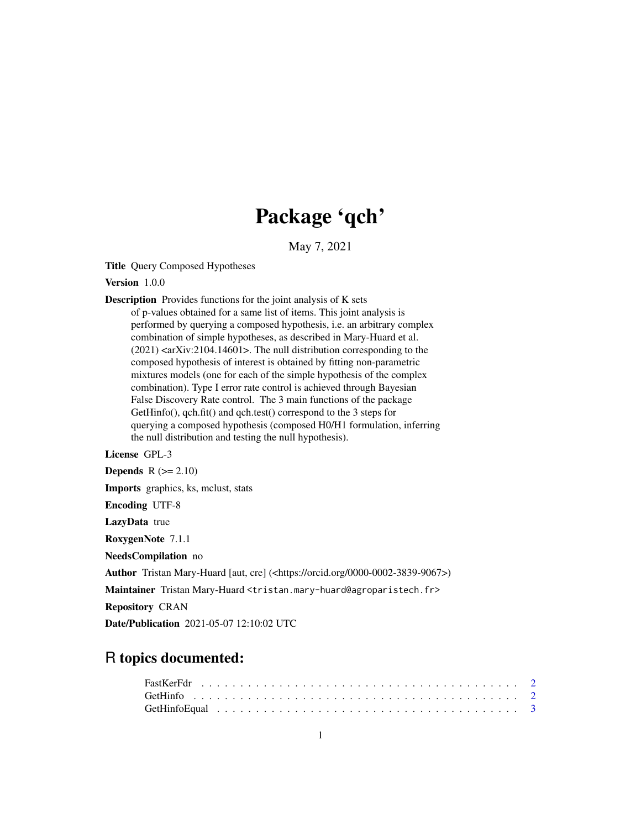## Package 'qch'

May 7, 2021

Title Query Composed Hypotheses

Version 1.0.0

Description Provides functions for the joint analysis of K sets of p-values obtained for a same list of items. This joint analysis is performed by querying a composed hypothesis, i.e. an arbitrary complex combination of simple hypotheses, as described in Mary-Huard et al. (2021) <arXiv:2104.14601>. The null distribution corresponding to the composed hypothesis of interest is obtained by fitting non-parametric mixtures models (one for each of the simple hypothesis of the complex combination). Type I error rate control is achieved through Bayesian False Discovery Rate control. The 3 main functions of the package GetHinfo(), qch.fit() and qch.test() correspond to the 3 steps for querying a composed hypothesis (composed H0/H1 formulation, inferring the null distribution and testing the null hypothesis).

License GPL-3

**Depends**  $R$  ( $>= 2.10$ ) Imports graphics, ks, mclust, stats Encoding UTF-8 LazyData true RoxygenNote 7.1.1 NeedsCompilation no Author Tristan Mary-Huard [aut, cre] (<https://orcid.org/0000-0002-3839-9067>) Maintainer Tristan Mary-Huard <tristan.mary-huard@agroparistech.fr> Repository CRAN Date/Publication 2021-05-07 12:10:02 UTC

### R topics documented: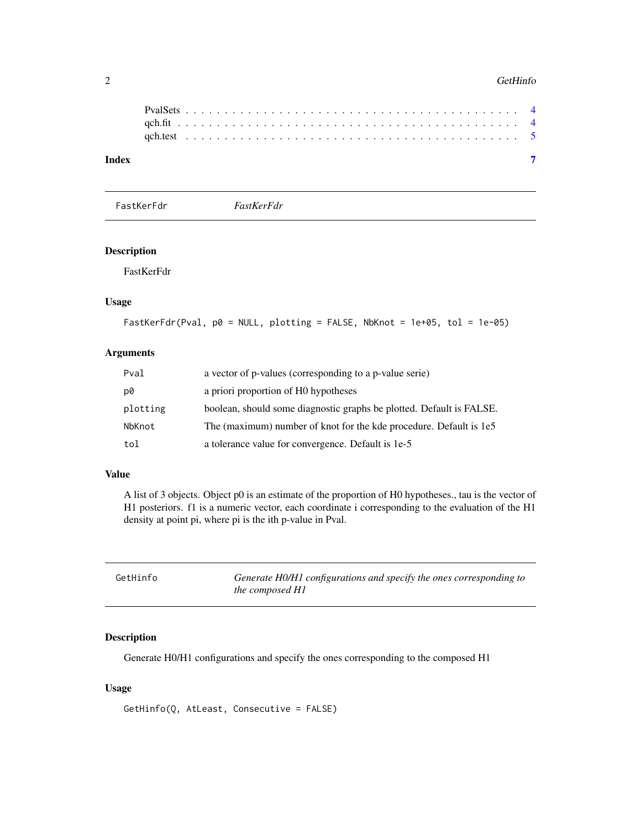<span id="page-1-0"></span>

| Index |  |  |  |  |  |  |  |  |  |  |  |  |  |  |  |  |  |  |  |  |  |  |
|-------|--|--|--|--|--|--|--|--|--|--|--|--|--|--|--|--|--|--|--|--|--|--|

FastKerFdr *FastKerFdr*

#### Description

FastKerFdr

#### Usage

```
FastKerFdr(Pval, p0 = NULL, plotting = FALSE, NbKnot = 1e+05, tol = 1e-05)
```
#### Arguments

| Pval     | a vector of p-values (corresponding to a p-value serie)              |
|----------|----------------------------------------------------------------------|
| p0       | a priori proportion of HO hypotheses                                 |
| plotting | boolean, should some diagnostic graphs be plotted. Default is FALSE. |
| NbKnot   | The (maximum) number of knot for the kde procedure. Default is 1e5   |
| tol      | a tolerance value for convergence. Default is 1e-5                   |

#### Value

A list of 3 objects. Object p0 is an estimate of the proportion of H0 hypotheses., tau is the vector of H1 posteriors. f1 is a numeric vector, each coordinate i corresponding to the evaluation of the H1 density at point pi, where pi is the ith p-value in Pval.

<span id="page-1-1"></span>

| Generate H0/H1 configurations and specify the ones corresponding to<br>GetHinfo<br>the composed H1 |  |
|----------------------------------------------------------------------------------------------------|--|
|----------------------------------------------------------------------------------------------------|--|

#### Description

Generate H0/H1 configurations and specify the ones corresponding to the composed H1

#### Usage

GetHinfo(Q, AtLeast, Consecutive = FALSE)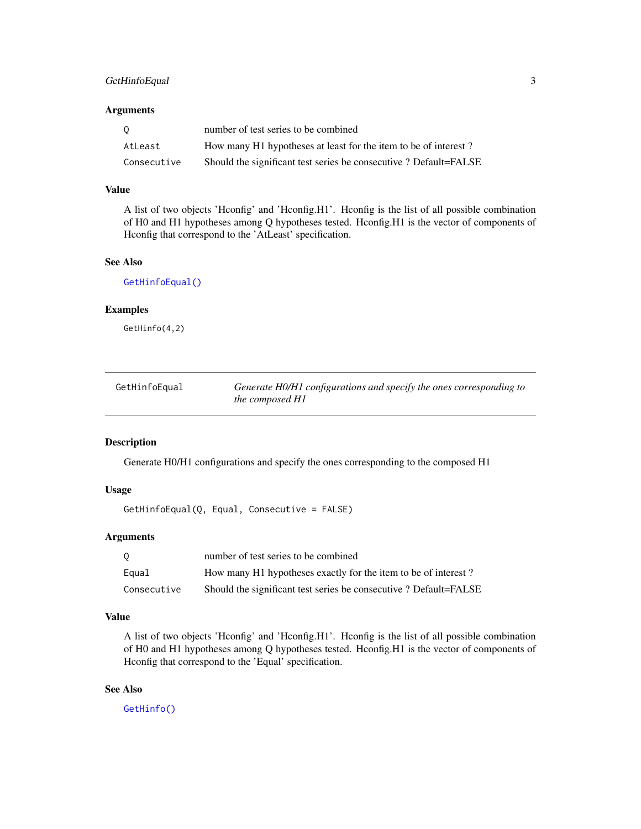#### <span id="page-2-0"></span>GetHinfoEqual 3

#### Arguments

| - 0         | number of test series to be combined                             |
|-------------|------------------------------------------------------------------|
| AtLeast     | How many H1 hypotheses at least for the item to be of interest?  |
| Consecutive | Should the significant test series be consecutive? Default=FALSE |

#### Value

A list of two objects 'Hconfig' and 'Hconfig.H1'. Hconfig is the list of all possible combination of H0 and H1 hypotheses among Q hypotheses tested. Hconfig.H1 is the vector of components of Hconfig that correspond to the 'AtLeast' specification.

#### See Also

[GetHinfoEqual\(\)](#page-2-1)

#### Examples

GetHinfo(4,2)

<span id="page-2-1"></span>

| GetHinfoEqual | Generate H0/H1 configurations and specify the ones corresponding to |
|---------------|---------------------------------------------------------------------|
|               | the composed H1                                                     |

#### Description

Generate H0/H1 configurations and specify the ones corresponding to the composed H1

#### Usage

GetHinfoEqual(Q, Equal, Consecutive = FALSE)

#### Arguments

| 0           | number of test series to be combined                             |
|-------------|------------------------------------------------------------------|
| Equal       | How many H1 hypotheses exactly for the item to be of interest?   |
| Consecutive | Should the significant test series be consecutive? Default=FALSE |

#### Value

A list of two objects 'Hconfig' and 'Hconfig.H1'. Hconfig is the list of all possible combination of H0 and H1 hypotheses among Q hypotheses tested. Hconfig.H1 is the vector of components of Hconfig that correspond to the 'Equal' specification.

#### See Also

[GetHinfo\(\)](#page-1-1)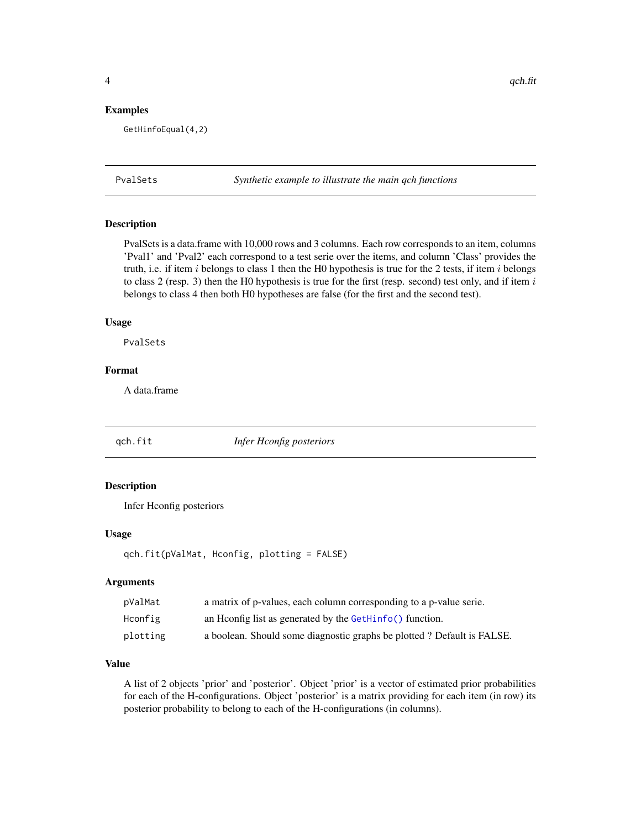#### <span id="page-3-0"></span>Examples

GetHinfoEqual(4,2)

PvalSets *Synthetic example to illustrate the main qch functions*

#### Description

PvalSets is a data.frame with 10,000 rows and 3 columns. Each row corresponds to an item, columns 'Pval1' and 'Pval2' each correspond to a test serie over the items, and column 'Class' provides the truth, i.e. if item i belongs to class 1 then the H0 hypothesis is true for the 2 tests, if item i belongs to class 2 (resp. 3) then the H0 hypothesis is true for the first (resp. second) test only, and if item  $i$ belongs to class 4 then both H0 hypotheses are false (for the first and the second test).

#### Usage

PvalSets

#### Format

A data.frame

<span id="page-3-1"></span>

qch.fit *Infer Hconfig posteriors*

#### Description

Infer Hconfig posteriors

#### Usage

```
qch.fit(pValMat, Hconfig, plotting = FALSE)
```
#### Arguments

| pValMat  | a matrix of p-values, each column corresponding to a p-value serie.    |
|----------|------------------------------------------------------------------------|
| Hconfig  | an Hoonfig list as generated by the GetHinfo() function.               |
| plotting | a boolean. Should some diagnostic graphs be plotted? Default is FALSE. |

#### Value

A list of 2 objects 'prior' and 'posterior'. Object 'prior' is a vector of estimated prior probabilities for each of the H-configurations. Object 'posterior' is a matrix providing for each item (in row) its posterior probability to belong to each of the H-configurations (in columns).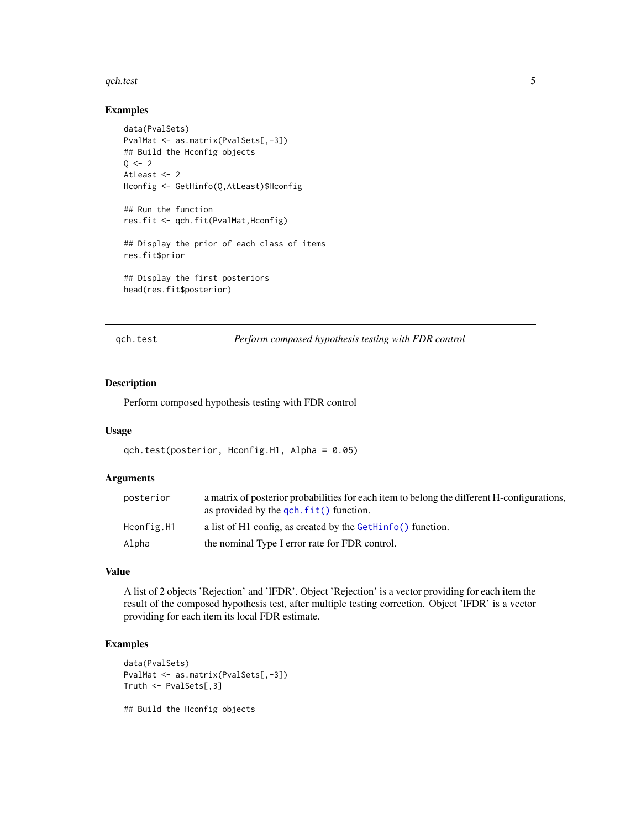#### <span id="page-4-0"></span>qch.test 5

#### Examples

```
data(PvalSets)
PvalMat <- as.matrix(PvalSets[,-3])
## Build the Hconfig objects
Q \le -2AtLeast <- 2
Hconfig <- GetHinfo(Q,AtLeast)$Hconfig
## Run the function
res.fit <- qch.fit(PvalMat,Hconfig)
## Display the prior of each class of items
res.fit$prior
## Display the first posteriors
head(res.fit$posterior)
```
qch.test *Perform composed hypothesis testing with FDR control*

#### Description

Perform composed hypothesis testing with FDR control

#### Usage

```
qch.test(posterior, Hconfig.H1, Alpha = 0.05)
```
#### Arguments

| posterior  | a matrix of posterior probabilities for each item to belong the different H-configurations,<br>as provided by the $\text{qch.fit}()$ function. |
|------------|------------------------------------------------------------------------------------------------------------------------------------------------|
| Hconfig.H1 | a list of H1 config. as created by the GetHinfo() function.                                                                                    |
| Alpha      | the nominal Type I error rate for FDR control.                                                                                                 |

#### Value

A list of 2 objects 'Rejection' and 'lFDR'. Object 'Rejection' is a vector providing for each item the result of the composed hypothesis test, after multiple testing correction. Object 'lFDR' is a vector providing for each item its local FDR estimate.

#### Examples

```
data(PvalSets)
PvalMat <- as.matrix(PvalSets[,-3])
Truth <- PvalSets[,3]
```
## Build the Hconfig objects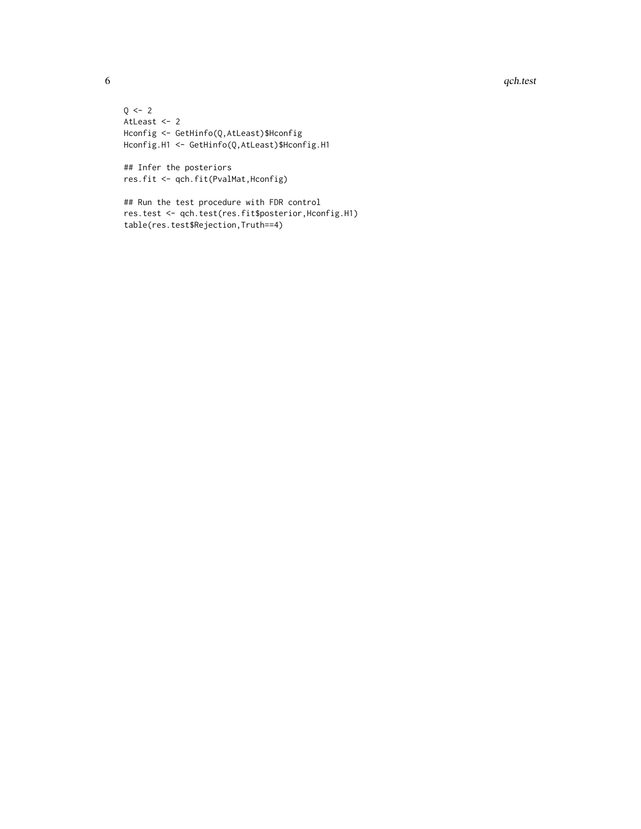#### 6 qch.test and the contract of the contract of the contract of the contract of the contract of the contract of the contract of the contract of the contract of the contract of the contract of the contract of the contract of

 $Q \le -2$ AtLeast <- 2 Hconfig <- GetHinfo(Q,AtLeast)\$Hconfig Hconfig.H1 <- GetHinfo(Q,AtLeast)\$Hconfig.H1

## Infer the posteriors res.fit <- qch.fit(PvalMat,Hconfig)

## Run the test procedure with FDR control res.test <- qch.test(res.fit\$posterior,Hconfig.H1) table(res.test\$Rejection,Truth==4)